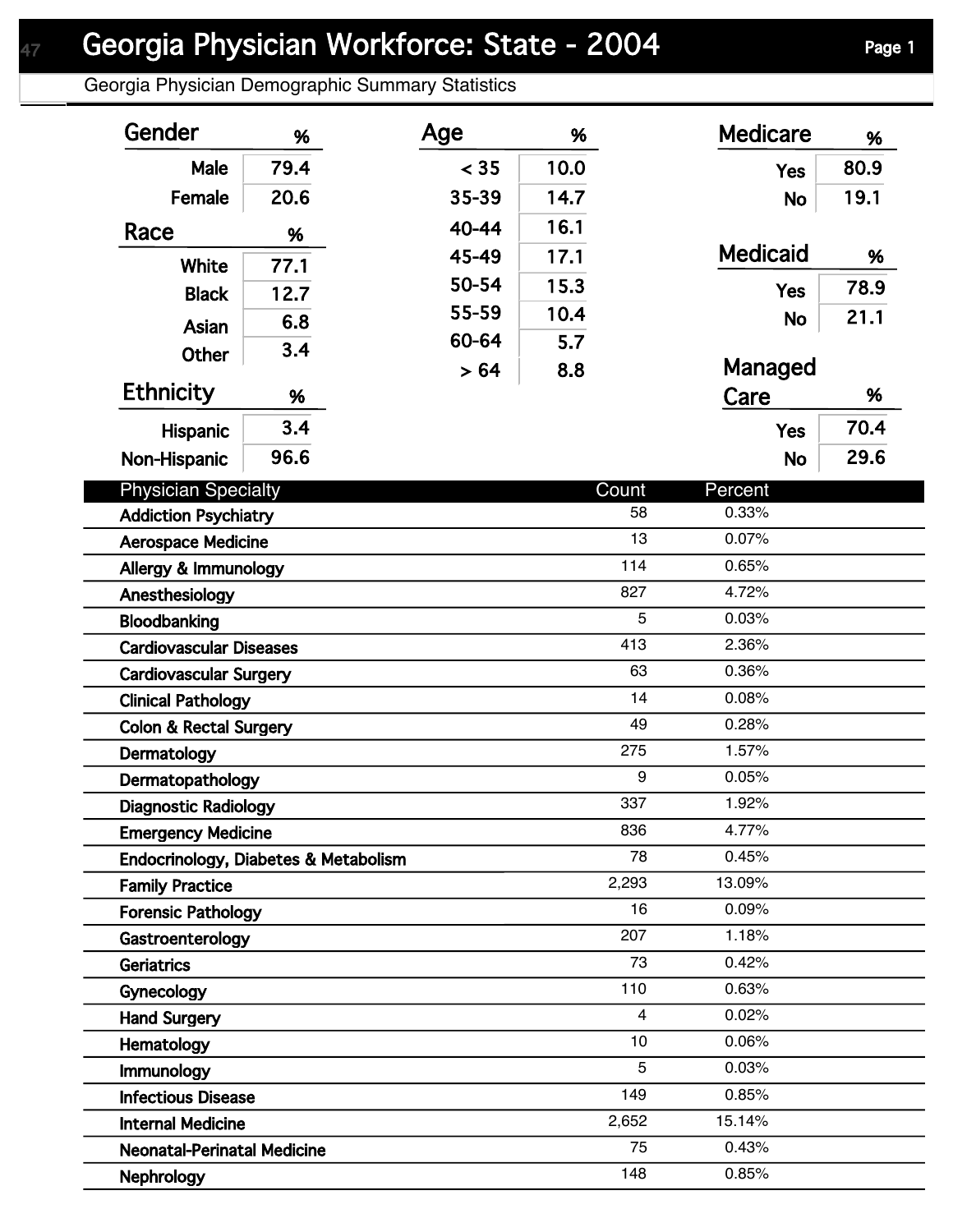Georgia Physician Demographic Summary Statistics

| Gender                               | %    | Age   | %    |       | <b>Medicare</b> | %    |
|--------------------------------------|------|-------|------|-------|-----------------|------|
| Male                                 | 79.4 | < 35  | 10.0 |       | <b>Yes</b>      | 80.9 |
| Female                               | 20.6 | 35-39 | 14.7 |       | <b>No</b>       | 19.1 |
| Race                                 | %    | 40-44 | 16.1 |       |                 |      |
|                                      |      | 45-49 | 17.1 |       | <b>Medicaid</b> | %    |
| <b>White</b>                         | 77.1 | 50-54 | 15.3 |       |                 | 78.9 |
| <b>Black</b>                         | 12.7 | 55-59 | 10.4 |       | <b>Yes</b>      | 21.1 |
| Asian                                | 6.8  | 60-64 | 5.7  |       | <b>No</b>       |      |
| <b>Other</b>                         | 3.4  | >64   | 8.8  |       | Managed         |      |
| <b>Ethnicity</b>                     | %    |       |      |       | Care            | %    |
| <b>Hispanic</b>                      | 3.4  |       |      |       | <b>Yes</b>      | 70.4 |
|                                      | 96.6 |       |      |       |                 | 29.6 |
| Non-Hispanic                         |      |       |      |       | <b>No</b>       |      |
| <b>Physician Specialty</b>           |      |       |      | Count | Percent         |      |
| <b>Addiction Psychiatry</b>          |      |       |      | 58    | 0.33%           |      |
| <b>Aerospace Medicine</b>            |      |       |      | 13    | 0.07%           |      |
| Allergy & Immunology                 |      |       |      | 114   | 0.65%           |      |
| Anesthesiology                       |      |       |      | 827   | 4.72%           |      |
| Bloodbanking                         |      |       |      | 5     | 0.03%           |      |
| <b>Cardiovascular Diseases</b>       |      |       |      | 413   | 2.36%           |      |
| <b>Cardiovascular Surgery</b>        |      |       |      | 63    | 0.36%           |      |
| <b>Clinical Pathology</b>            |      |       |      | 14    | 0.08%           |      |
| <b>Colon &amp; Rectal Surgery</b>    |      |       |      | 49    | 0.28%           |      |
| Dermatology                          |      |       |      | 275   | 1.57%           |      |
| Dermatopathology                     |      |       |      | 9     | 0.05%           |      |
| <b>Diagnostic Radiology</b>          |      |       |      | 337   | 1.92%           |      |
| <b>Emergency Medicine</b>            |      |       |      | 836   | 4.77%           |      |
| Endocrinology, Diabetes & Metabolism |      |       |      | 78    | 0.45%           |      |
| <b>Family Practice</b>               |      |       |      | 2,293 | 13.09%          |      |
| <b>Forensic Pathology</b>            |      |       |      | 16    | 0.09%           |      |
| Gastroenterology                     |      |       |      | 207   | 1.18%           |      |
| Geriatrics                           |      |       |      | 73    | 0.42%           |      |
| Gynecology                           |      |       |      | 110   | 0.63%           |      |
| <b>Hand Surgery</b>                  |      |       |      | 4     | 0.02%           |      |
| Hematology                           |      |       |      | 10    | 0.06%           |      |
| Immunology                           |      |       |      | 5     | 0.03%           |      |
| <b>Infectious Disease</b>            |      |       |      | 149   | 0.85%           |      |
| <b>Internal Medicine</b>             |      |       |      | 2,652 | 15.14%          |      |
| <b>Neonatal-Perinatal Medicine</b>   |      |       |      | 75    | 0.43%           |      |
| Nephrology                           |      |       |      | 148   | 0.85%           |      |